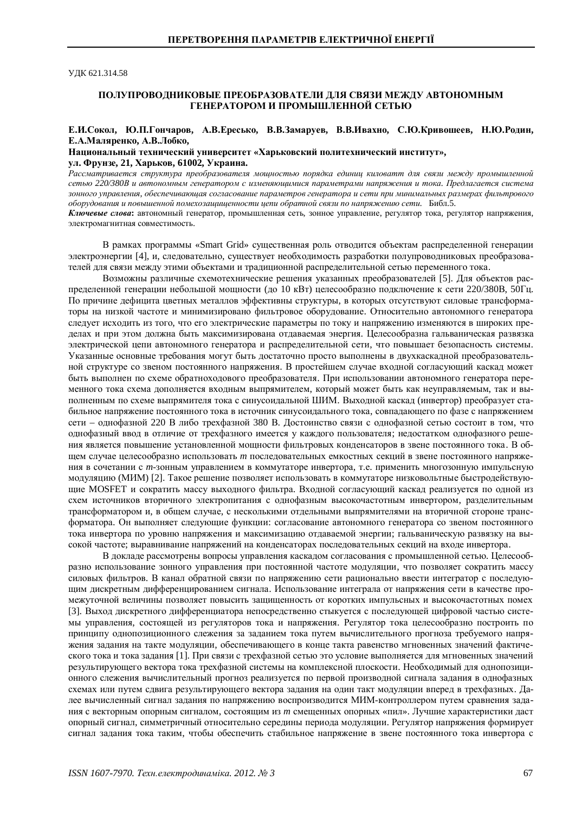ɍȾɄ 621.314.58

## ПОЛУПРОВОЛНИКОВЫЕ ПРЕОБРАЗОВАТЕЛИ ЛЛЯ СВЯЗИ МЕЖЛУ АВТОНОМНЫМ ГЕНЕРАТОРОМ И ПРОМЫШЛЕННОЙ СЕТЬЮ

### Е.И.Сокол, Ю.П.Гончаров, А.В.Ересько, В.В.Замаруев, В.В.Ивахно, С.Ю.Кривошеев, Н.Ю.Родин,  $E.A.Ma$ ляренко, А.В.Лобко,

# Национальный технический университет «Харьковский политехнический институт»,

 $YJJ.$  Фрунзе, 21, Харьков, 61002, Украина.

Рассматривается структура преобразователя мощностью порядка единиц киловатт для связи между промышленной сетью 220/380B и автономным генератором с изменяющимися параметрами напряжения и тока. Предлагается система зонного управления, обеспечивающая согласование параметров генератора и сети при минимальных размерах фильтрового  $\delta$ оборудования и повышенной помехозащищенности цепи обратной связи по напряжению сети. Библ.5.

Ключевые слова: автономный генератор, промышленная сеть, зонное управление, регулятор тока, регулятор напряжения, электромагнитная совместимость.

В рамках программы «Smart Grid» существенная роль отводится объектам распределенной генерации электроэнергии [4], и, следовательно, существует необходимость разработки полупроводниковых преобразователей для связи между этими объектами и традиционной распределительной сетью переменного тока.

Возможны различные схемотехнические решения указанных преобразователей [5]. Для объектов распределенной генерации небольшой мощности (до 10 кВт) целесообразно подключение к сети 220/380В, 50Гц. По причине дефицита цветных металлов эффективны структуры, в которых отсутствуют силовые трансформаторы на низкой частоте и минимизировано фильтровое оборудование. Относительно автономного генератора следует исходить из того, что его электрические параметры по току и напряжению изменяются в широких пределах и при этом должна быть максимизирована отдаваемая энергия. Пелесообразна гальваническая развязка электрической цепи автономного генератора и распрелелительной сети, что повышает безопасность системы. Указанные основные требования могут быть достаточно просто выполнены в двухкаскадной преобразовательной структуре со звеном постоянного напряжения. В простейшем случае входной согласующий каскад может быть выполнен по схеме обратноходового преобразователя. При использовании автономного генератора переменного тока схема дополняется входным выпрямителем, который может быть как неуправляемым, так и выполненным по схеме выпрямителя тока с синусоилальной ШИМ. Выхолной каскал (инвертор) преобразует стабильное напряжение постоянного тока в источник синусоидального тока, совпадающего по фазе с напряжением сети – однофазной 220 В либо трехфазной 380 В. Достоинство связи с однофазной сетью состоит в том, что однофазный ввод в отличие от трехфазного имеется у каждого пользователя; недостатком однофазного решения является повышение установленной мощности фильтровых конденсаторов в звене постоянного тока. В общем случае целесообразно использовать *т* последовательных емкостных секций в звене постоянного напряжения в сочетании с *m*-зонным управлением в коммутаторе инвертора, т.е. применить многозонную импульсную модуляцию (МИМ) [2]. Такое решение позволяет использовать в коммутаторе низковольтные быстродействующие MOSFET и сократить массу выходного фильтра. Входной согласующий каскад реализуется по одной из схем источников вторичного электропитания с однофазным высокочастотным инвертором, разделительным трансформатором и, в общем случае, с несколькими отдельными выпрямителями на вторичной стороне трансформатора. Он выполняет следующие функции: согласование автономного генератора со звеном постоянного тока инвертора по уровню напряжения и максимизацию отдаваемой энергии; гальваническую развязку на высокой частоте; выравнивание напряжений на конденсаторах последовательных секций на входе инвертора.

В локладе рассмотрены вопросы управления каскалом согласования с промышленной сетью. Нелесообразно использование зонного управления при постоянной частоте модуляции, что позволяет сократить массу силовых фильтров. В канал обратной связи по напряжению сети рационально ввести интегратор с последующим дискретным дифференцированием сигнала. Использование интеграла от напряжения сети в качестве промежуточной величины позволяет повысить защищенность от коротких импульсных и высокочастотных помех [3]. Выход дискретного дифференциатора непосредственно стыкуется с последующей цифровой частью системы управления, состоящей из регуляторов тока и напряжения. Регулятор тока целесообразно построить по принципу однопозиционного слежения за заданием тока путем вычислительного прогноза требуемого напряжения задания на такте модуляции, обеспечивающего в конце такта равенство мгновенных значений фактического тока и тока задания [1]. При связи с трехфазной сетью это условие выполняется для мгновенных значений результирующего вектора тока трехфазной системы на комплексной плоскости. Необходимый для однопозиционного слежения вычислительный прогноз реализуется по первой производной сигнала задания в однофазных схемах или путем сдвига результирующего вектора задания на один такт модуляции вперед в трехфазных. Далее вычисленный сигнал задания по напряжению воспроизводится МИМ-контроллером путем сравнения задания с векторным опорным сигналом, состоящим из *m* смещенных опорных «пил». Лучшие характеристики даст опорный сигнал, симметричный относительно середины периода модуляции. Регулятор напряжения формирует сигнал задания тока таким, чтобы обеспечить стабильное напряжение в звене постоянного тока инвертора с